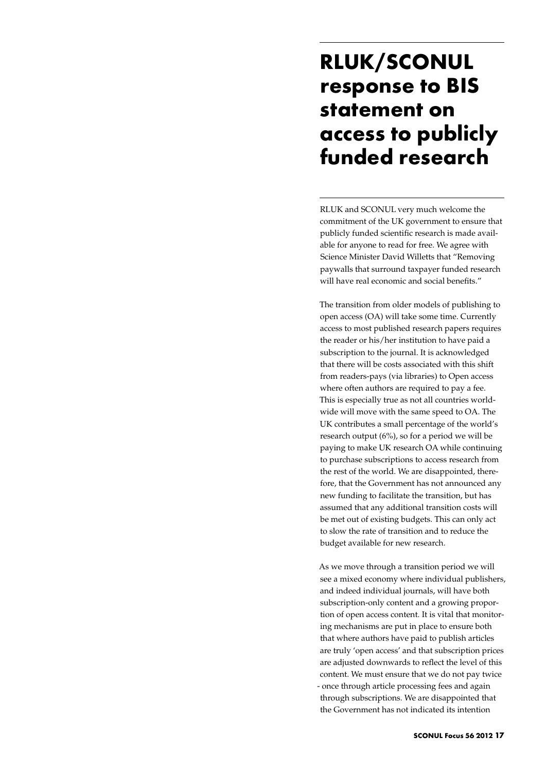## **RLUK/SCONUL response to BIS statement on access to publicly funded research**

RLUK and SCONUL very much welcome the commitment of the UK government to ensure that publicly funded scientific research is made available for anyone to read for free. We agree with Science Minister David Willetts that "Removing paywalls that surround taxpayer funded research will have real economic and social benefits."

The transition from older models of publishing to open access (OA) will take some time. Currently access to most published research papers requires the reader or his/her institution to have paid a subscription to the journal. It is acknowledged that there will be costs associated with this shift from readers-pays (via libraries) to Open access where often authors are required to pay a fee. This is especially true as not all countries worldwide will move with the same speed to OA. The UK contributes a small percentage of the world's research output (6%), so for a period we will be paying to make UK research OA while continuing to purchase subscriptions to access research from the rest of the world. We are disappointed, therefore, that the Government has not announced any new funding to facilitate the transition, but has assumed that any additional transition costs will be met out of existing budgets. This can only act to slow the rate of transition and to reduce the budget available for new research.

As we move through a transition period we will see a mixed economy where individual publishers, and indeed individual journals, will have both subscription-only content and a growing proportion of open access content. It is vital that monitoring mechanisms are put in place to ensure both that where authors have paid to publish articles are truly 'open access' and that subscription prices are adjusted downwards to reflect the level of this content. We must ensure that we do not pay twice - once through article processing fees and again through subscriptions. We are disappointed that the Government has not indicated its intention